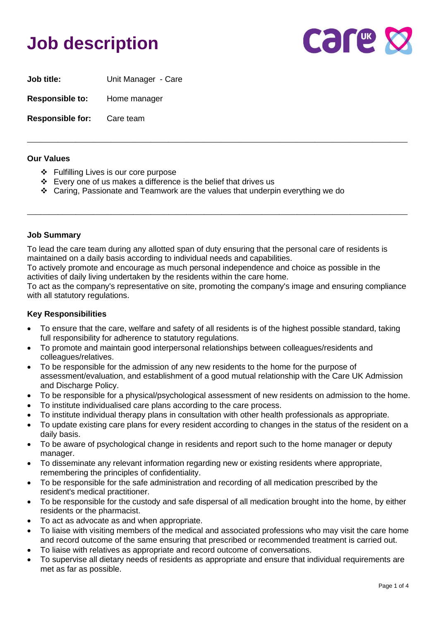## **Job description**



**Job title:** Unit Manager - Care **Responsible to:** Home manager

**Responsible for:** Care team

#### **Our Values**

- ❖ Fulfilling Lives is our core purpose
- ❖ Every one of us makes a difference is the belief that drives us
- ❖ Caring, Passionate and Teamwork are the values that underpin everything we do

## **Job Summary**

To lead the care team during any allotted span of duty ensuring that the personal care of residents is maintained on a daily basis according to individual needs and capabilities.

To actively promote and encourage as much personal independence and choice as possible in the activities of daily living undertaken by the residents within the care home.

To act as the company's representative on site, promoting the company's image and ensuring compliance with all statutory regulations.

\_\_\_\_\_\_\_\_\_\_\_\_\_\_\_\_\_\_\_\_\_\_\_\_\_\_\_\_\_\_\_\_\_\_\_\_\_\_\_\_\_\_\_\_\_\_\_\_\_\_\_\_\_\_\_\_\_\_\_\_\_\_\_\_\_\_\_\_\_\_\_\_\_\_\_\_\_\_\_\_\_\_\_\_\_\_

\_\_\_\_\_\_\_\_\_\_\_\_\_\_\_\_\_\_\_\_\_\_\_\_\_\_\_\_\_\_\_\_\_\_\_\_\_\_\_\_\_\_\_\_\_\_\_\_\_\_\_\_\_\_\_\_\_\_\_\_\_\_\_\_\_\_\_\_\_\_\_\_\_\_\_\_\_\_\_\_\_\_\_\_\_\_

## **Key Responsibilities**

- To ensure that the care, welfare and safety of all residents is of the highest possible standard, taking full responsibility for adherence to statutory regulations.
- To promote and maintain good interpersonal relationships between colleagues/residents and colleagues/relatives.
- To be responsible for the admission of any new residents to the home for the purpose of assessment/evaluation, and establishment of a good mutual relationship with the Care UK Admission and Discharge Policy.
- To be responsible for a physical/psychological assessment of new residents on admission to the home.
- To institute individualised care plans according to the care process.
- To institute individual therapy plans in consultation with other health professionals as appropriate.
- To update existing care plans for every resident according to changes in the status of the resident on a daily basis.
- To be aware of psychological change in residents and report such to the home manager or deputy manager.
- To disseminate any relevant information regarding new or existing residents where appropriate, remembering the principles of confidentiality.
- To be responsible for the safe administration and recording of all medication prescribed by the resident's medical practitioner.
- To be responsible for the custody and safe dispersal of all medication brought into the home, by either residents or the pharmacist.
- To act as advocate as and when appropriate.
- To liaise with visiting members of the medical and associated professions who may visit the care home and record outcome of the same ensuring that prescribed or recommended treatment is carried out.
- To liaise with relatives as appropriate and record outcome of conversations.
- To supervise all dietary needs of residents as appropriate and ensure that individual requirements are met as far as possible.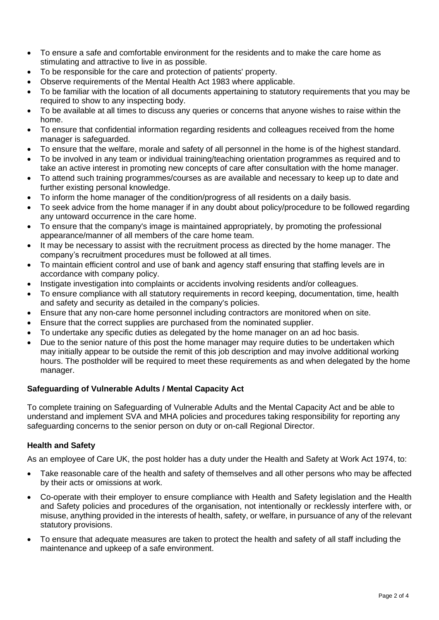- To ensure a safe and comfortable environment for the residents and to make the care home as stimulating and attractive to live in as possible.
- To be responsible for the care and protection of patients' property.
- Observe requirements of the Mental Health Act 1983 where applicable.
- To be familiar with the location of all documents appertaining to statutory requirements that you may be required to show to any inspecting body.
- To be available at all times to discuss any queries or concerns that anyone wishes to raise within the home.
- To ensure that confidential information regarding residents and colleagues received from the home manager is safeguarded.
- To ensure that the welfare, morale and safety of all personnel in the home is of the highest standard.
- To be involved in any team or individual training/teaching orientation programmes as required and to take an active interest in promoting new concepts of care after consultation with the home manager.
- To attend such training programmes/courses as are available and necessary to keep up to date and further existing personal knowledge.
- To inform the home manager of the condition/progress of all residents on a daily basis.
- To seek advice from the home manager if in any doubt about policy/procedure to be followed regarding any untoward occurrence in the care home.
- To ensure that the company's image is maintained appropriately, by promoting the professional appearance/manner of all members of the care home team.
- It may be necessary to assist with the recruitment process as directed by the home manager. The company's recruitment procedures must be followed at all times.
- To maintain efficient control and use of bank and agency staff ensuring that staffing levels are in accordance with company policy.
- Instigate investigation into complaints or accidents involving residents and/or colleagues.
- To ensure compliance with all statutory requirements in record keeping, documentation, time, health and safety and security as detailed in the company's policies.
- Ensure that any non-care home personnel including contractors are monitored when on site.
- Ensure that the correct supplies are purchased from the nominated supplier.
- To undertake any specific duties as delegated by the home manager on an ad hoc basis.
- Due to the senior nature of this post the home manager may require duties to be undertaken which may initially appear to be outside the remit of this job description and may involve additional working hours. The postholder will be required to meet these requirements as and when delegated by the home manager.

## **Safeguarding of Vulnerable Adults / Mental Capacity Act**

To complete training on Safeguarding of Vulnerable Adults and the Mental Capacity Act and be able to understand and implement SVA and MHA policies and procedures taking responsibility for reporting any safeguarding concerns to the senior person on duty or on-call Regional Director.

## **Health and Safety**

As an employee of Care UK, the post holder has a duty under the Health and Safety at Work Act 1974, to:

- Take reasonable care of the health and safety of themselves and all other persons who may be affected by their acts or omissions at work.
- Co-operate with their employer to ensure compliance with Health and Safety legislation and the Health and Safety policies and procedures of the organisation, not intentionally or recklessly interfere with, or misuse, anything provided in the interests of health, safety, or welfare, in pursuance of any of the relevant statutory provisions.
- To ensure that adequate measures are taken to protect the health and safety of all staff including the maintenance and upkeep of a safe environment.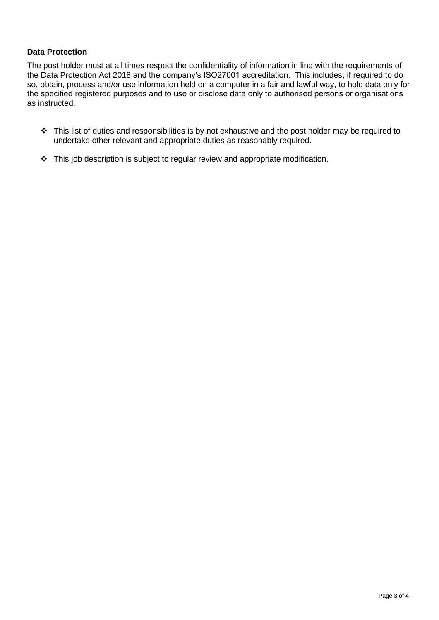## **Data Protection**

The post holder must at all times respect the confidentiality of information in line with the requirements of the Data Protection Act 2018 and the company's ISO27001 accreditation. This includes, if required to do so, obtain, process and/or use information held on a computer in a fair and lawful way, to hold data only for the specified registered purposes and to use or disclose data only to authorised persons or organisations as instructed.

- ❖ This list of duties and responsibilities is by not exhaustive and the post holder may be required to undertake other relevant and appropriate duties as reasonably required.
- ❖ This job description is subject to regular review and appropriate modification.